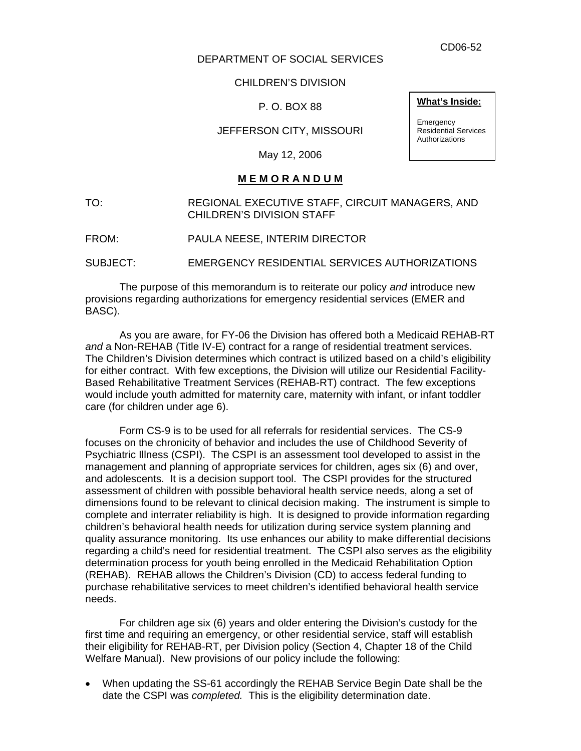CD06-52

### DEPARTMENT OF SOCIAL SERVICES

CHILDREN'S DIVISION

P. O. BOX 88

JEFFERSON CITY, MISSOURI

May 12, 2006

## **M E M O R A N D U M**

TO: REGIONAL EXECUTIVE STAFF, CIRCUIT MANAGERS, AND CHILDREN'S DIVISION STAFF

FROM: PAULA NEESE, INTERIM DIRECTOR

SUBJECT: EMERGENCY RESIDENTIAL SERVICES AUTHORIZATIONS

The purpose of this memorandum is to reiterate our policy *and* introduce new provisions regarding authorizations for emergency residential services (EMER and BASC).

As you are aware, for FY-06 the Division has offered both a Medicaid REHAB-RT *and* a Non-REHAB (Title IV-E) contract for a range of residential treatment services. The Children's Division determines which contract is utilized based on a child's eligibility for either contract. With few exceptions, the Division will utilize our Residential Facility-Based Rehabilitative Treatment Services (REHAB-RT) contract. The few exceptions would include youth admitted for maternity care, maternity with infant, or infant toddler care (for children under age 6).

 Form CS-9 is to be used for all referrals for residential services. The CS-9 focuses on the chronicity of behavior and includes the use of Childhood Severity of Psychiatric Illness (CSPI). The CSPI is an assessment tool developed to assist in the management and planning of appropriate services for children, ages six (6) and over, and adolescents. It is a decision support tool. The CSPI provides for the structured assessment of children with possible behavioral health service needs, along a set of dimensions found to be relevant to clinical decision making. The instrument is simple to complete and interrater reliability is high. It is designed to provide information regarding children's behavioral health needs for utilization during service system planning and quality assurance monitoring. Its use enhances our ability to make differential decisions regarding a child's need for residential treatment. The CSPI also serves as the eligibility determination process for youth being enrolled in the Medicaid Rehabilitation Option (REHAB). REHAB allows the Children's Division (CD) to access federal funding to purchase rehabilitative services to meet children's identified behavioral health service needs.

For children age six (6) years and older entering the Division's custody for the first time and requiring an emergency, or other residential service, staff will establish their eligibility for REHAB-RT, per Division policy (Section 4, Chapter 18 of the Child Welfare Manual). New provisions of our policy include the following:

• When updating the SS-61 accordingly the REHAB Service Begin Date shall be the date the CSPI was *completed.* This is the eligibility determination date.

#### **What's Inside:**

**Emergency** Residential Services **Authorizations**